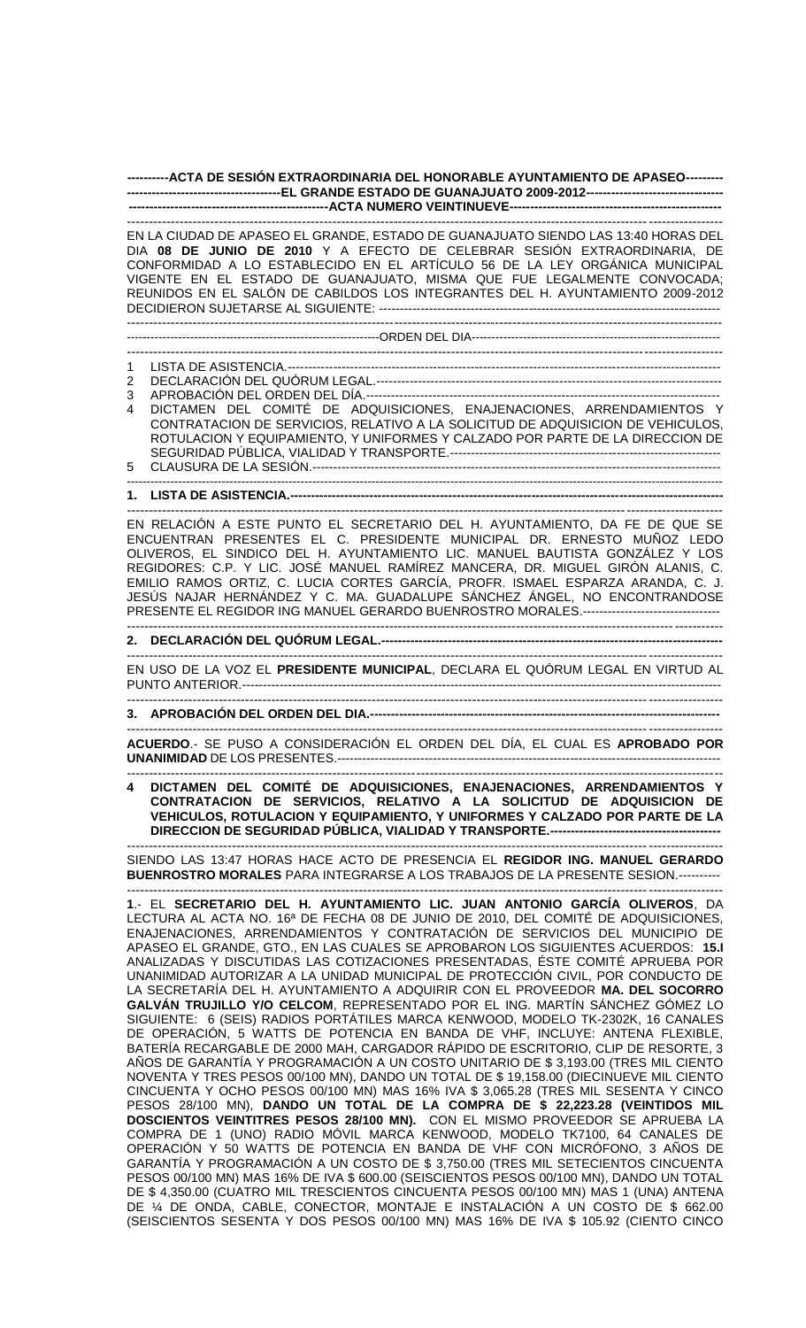## **----------ACTA DE SESIÓN EXTRAORDINARIA DEL HONORABLE AYUNTAMIENTO DE APASEO--------- -------------------------------------EL GRANDE ESTADO DE GUANAJUATO 2009-2012--------------------------------- ------------------------------------------------ACTA NUMERO VEINTINUEVE---------------------------------------------------**

---------------------------------------------------------------------------------------------------------------------------------------- EN LA CIUDAD DE APASEO EL GRANDE, ESTADO DE GUANAJUATO SIENDO LAS 13:40 HORAS DEL DIA **08 DE JUNIO DE 2010** Y A EFECTO DE CELEBRAR SESIÓN EXTRAORDINARIA, DE CONFORMIDAD A LO ESTABLECIDO EN EL ARTÍCULO 56 DE LA LEY ORGÁNICA MUNICIPAL VIGENTE EN EL ESTADO DE GUANAJUATO, MISMA QUE FUE LEGALMENTE CONVOCADA; REUNIDOS EN EL SALÓN DE CABILDOS LOS INTEGRANTES DEL H. AYUNTAMIENTO 2009-2012 DECIDIERON SUJETARSE AL SIGUIENTE: ------------------------------

---------------------------------------------------------------------------------------------------------------------------------------- ----------------------------------------------------------------ORDEN DEL DIA---------------------------------------------------------------

- ---------------------------------------------------------------------------------------------------------------------------------------- 1 LISTA DE ASISTENCIA.-------------------------------------------------------------------------------------------------------- 2 DECLARACIÓN DEL QUÓRUM LEGAL.----------------------------------------------------------------------------------- 3 APROBACIÓN DEL ORDEN DEL DÍA.------------------------------------------------------------------------------------- 4 DICTAMEN DEL COMITÉ DE ADQUISICIONES, ENAJENACIONES, ARRENDAMIENTOS Y CONTRATACION DE SERVICIOS, RELATIVO A LA SOLICITUD DE ADQUISICION DE VEHICULOS,
- ROTULACION Y EQUIPAMIENTO, Y UNIFORMES Y CALZADO POR PARTE DE LA DIRECCION DE SEGURIDAD PÚBLICA, VIALIDAD Y TRANSPORTE.----------------------------------------------------------------- 5 CLAUSURA DE LA SESIÓN.-------------------------------------------------------------------------------------------------- -------------------------------------------------------------------------------------------------------------------------------------------------------
- **1. LISTA DE ASISTENCIA.--------------------------------------------------------------------------------------------------------**

---------------------------------------------------------------------------------------------------------------------------------------- EN RELACIÓN A ESTE PUNTO EL SECRETARIO DEL H. AYUNTAMIENTO, DA FE DE QUE SE ENCUENTRAN PRESENTES EL C. PRESIDENTE MUNICIPAL DR. ERNESTO MUÑOZ LEDO OLIVEROS, EL SINDICO DEL H. AYUNTAMIENTO LIC. MANUEL BAUTISTA GONZÁLEZ Y LOS REGIDORES: C.P. Y LIC. JOSÉ MANUEL RAMÍREZ MANCERA, DR. MIGUEL GIRÓN ALANIS, C. EMILIO RAMOS ORTIZ, C. LUCIA CORTES GARCÍA, PROFR. ISMAEL ESPARZA ARANDA, C. J. JESÚS NAJAR HERNÁNDEZ Y C. MA. GUADALUPE SÁNCHEZ ÁNGEL, NO ENCONTRANDOSE PRESENTE EL REGIDOR ING MANUEL GERARDO BUENROSTRO MORALES.--------------------------------- ----------------------------------------------------------------------------------------------------------------------------------------

## **2. DECLARACIÓN DEL QUÓRUM LEGAL.----------------------------------------------------------------------------------**

---------------------------------------------------------------------------------------------------------------------------------------- EN USO DE LA VOZ EL **PRESIDENTE MUNICIPAL**, DECLARA EL QUÓRUM LEGAL EN VIRTUD AL PUNTO ANTERIOR.------------------------------

----------------------------------------------------------------------------------------------------------------------------------------

3. APROBACIÓN DEL ORDEN DEL DIA.----

---------------------------------------------------------------------------------------------------------------------------------------- **ACUERDO**.- SE PUSO A CONSIDERACIÓN EL ORDEN DEL DÍA, EL CUAL ES **APROBADO POR UNANIMIDAD** DE LOS PRESENTES.--------------------------------------------------------------------------------------------

---------------------------------------------------------------------------------------------------------------------------------------- **4 DICTAMEN DEL COMITÉ DE ADQUISICIONES, ENAJENACIONES, ARRENDAMIENTOS Y CONTRATACION DE SERVICIOS, RELATIVO A LA SOLICITUD DE ADQUISICION DE VEHICULOS, ROTULACION Y EQUIPAMIENTO, Y UNIFORMES Y CALZADO POR PARTE DE LA DIRECCION DE SEGURIDAD PÚBLICA, VIALIDAD Y TRANSPORTE.-----------------------------------------**

---------------------------------------------------------------------------------------------------------------------------------------- SIENDO LAS 13:47 HORAS HACE ACTO DE PRESENCIA EL **REGIDOR ING. MANUEL GERARDO BUENROSTRO MORALES** PARA INTEGRARSE A LOS TRABAJOS DE LA PRESENTE SESION.---------- ----------------------------------------------------------------------------------------------------------------------------------------

**1**.- EL **SECRETARIO DEL H. AYUNTAMIENTO LIC. JUAN ANTONIO GARCÍA OLIVEROS**, DA LECTURA AL ACTA NO. 16ª DE FECHA 08 DE JUNIO DE 2010, DEL COMITÉ DE ADQUISICIONES, ENAJENACIONES, ARRENDAMIENTOS Y CONTRATACIÓN DE SERVICIOS DEL MUNICIPIO DE APASEO EL GRANDE, GTO., EN LAS CUALES SE APROBARON LOS SIGUIENTES ACUERDOS: **15.I**  ANALIZADAS Y DISCUTIDAS LAS COTIZACIONES PRESENTADAS, ÉSTE COMITÉ APRUEBA POR UNANIMIDAD AUTORIZAR A LA UNIDAD MUNICIPAL DE PROTECCIÓN CIVIL, POR CONDUCTO DE LA SECRETARÍA DEL H. AYUNTAMIENTO A ADQUIRIR CON EL PROVEEDOR **MA. DEL SOCORRO GALVÁN TRUJILLO Y/O CELCOM**, REPRESENTADO POR EL ING. MARTÍN SÁNCHEZ GÓMEZ LO SIGUIENTE: 6 (SEIS) RADIOS PORTÁTILES MARCA KENWOOD, MODELO TK-2302K, 16 CANALES DE OPERACIÓN, 5 WATTS DE POTENCIA EN BANDA DE VHF, INCLUYE: ANTENA FLEXIBLE, BATERÍA RECARGABLE DE 2000 MAH, CARGADOR RÁPIDO DE ESCRITORIO, CLIP DE RESORTE, 3 AÑOS DE GARANTÍA Y PROGRAMACIÓN A UN COSTO UNITARIO DE \$ 3,193.00 (TRES MIL CIENTO NOVENTA Y TRES PESOS 00/100 MN), DANDO UN TOTAL DE \$ 19,158.00 (DIECINUEVE MIL CIENTO CINCUENTA Y OCHO PESOS 00/100 MN) MAS 16% IVA \$ 3,065.28 (TRES MIL SESENTA Y CINCO PESOS 28/100 MN), **DANDO UN TOTAL DE LA COMPRA DE \$ 22,223.28 (VEINTIDOS MIL DOSCIENTOS VEINTITRES PESOS 28/100 MN).** CON EL MISMO PROVEEDOR SE APRUEBA LA COMPRA DE 1 (UNO) RADIO MÓVIL MARCA KENWOOD, MODELO TK7100, 64 CANALES DE OPERACIÓN Y 50 WATTS DE POTENCIA EN BANDA DE VHF CON MICRÓFONO, 3 AÑOS DE GARANTÍA Y PROGRAMACIÓN A UN COSTO DE \$ 3,750.00 (TRES MIL SETECIENTOS CINCUENTA PESOS 00/100 MN) MAS 16% DE IVA \$ 600.00 (SEISCIENTOS PESOS 00/100 MN), DANDO UN TOTAL DE \$ 4,350.00 (CUATRO MIL TRESCIENTOS CINCUENTA PESOS 00/100 MN) MAS 1 (UNA) ANTENA DE ¼ DE ONDA, CABLE, CONECTOR, MONTAJE E INSTALACIÓN A UN COSTO DE \$ 662.00 (SEISCIENTOS SESENTA Y DOS PESOS 00/100 MN) MAS 16% DE IVA \$ 105.92 (CIENTO CINCO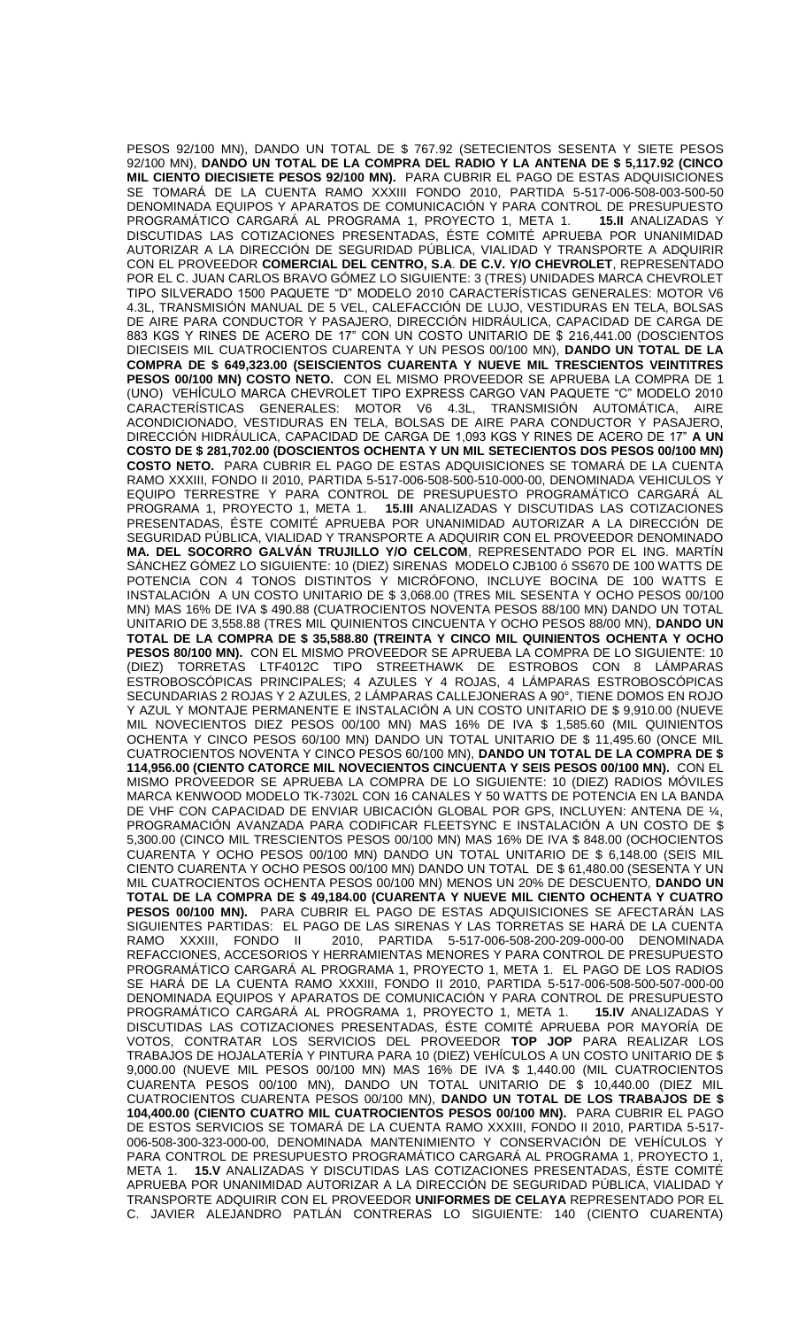PESOS 92/100 MN), DANDO UN TOTAL DE \$ 767.92 (SETECIENTOS SESENTA Y SIETE PESOS 92/100 MN), **DANDO UN TOTAL DE LA COMPRA DEL RADIO Y LA ANTENA DE \$ 5,117.92 (CINCO MIL CIENTO DIECISIETE PESOS 92/100 MN).** PARA CUBRIR EL PAGO DE ESTAS ADQUISICIONES SE TOMARÁ DE LA CUENTA RAMO XXXIII FONDO 2010, PARTIDA 5-517-006-508-003-500-50 DENOMINADA EQUIPOS Y APARATOS DE COMUNICACIÓN Y PARA CONTROL DE PRESUPUESTO<br>PROGRAMÁTICO CARGARÁ AL PROGRAMA 1, PROYECTO 1, META 1. **15.II** ANALIZADAS Y PROGRAMÁTICO CARGARÁ AL PROGRAMA 1, PROYECTO 1, META 1. DISCUTIDAS LAS COTIZACIONES PRESENTADAS, ÉSTE COMITÉ APRUEBA POR UNANIMIDAD AUTORIZAR A LA DIRECCIÓN DE SEGURIDAD PÚBLICA, VIALIDAD Y TRANSPORTE A ADQUIRIR CON EL PROVEEDOR **COMERCIAL DEL CENTRO, S.A**. **DE C.V. Y/O CHEVROLET**, REPRESENTADO POR EL C. JUAN CARLOS BRAVO GÓMEZ LO SIGUIENTE: 3 (TRES) UNIDADES MARCA CHEVROLET TIPO SILVERADO 1500 PAQUETE "D" MODELO 2010 CARACTERÍSTICAS GENERALES: MOTOR V6 4.3L, TRANSMISIÓN MANUAL DE 5 VEL, CALEFACCIÓN DE LUJO, VESTIDURAS EN TELA, BOLSAS DE AIRE PARA CONDUCTOR Y PASAJERO, DIRECCIÓN HIDRÁULICA, CAPACIDAD DE CARGA DE 883 KGS Y RINES DE ACERO DE 17" CON UN COSTO UNITARIO DE \$ 216,441.00 (DOSCIENTOS DIECISEIS MIL CUATROCIENTOS CUARENTA Y UN PESOS 00/100 MN), **DANDO UN TOTAL DE LA COMPRA DE \$ 649,323.00 (SEISCIENTOS CUARENTA Y NUEVE MIL TRESCIENTOS VEINTITRES PESOS 00/100 MN) COSTO NETO.** CON EL MISMO PROVEEDOR SE APRUEBA LA COMPRA DE 1 (UNO) VEHÍCULO MARCA CHEVROLET TIPO EXPRESS CARGO VAN PAQUETE "C" MODELO 2010 CARACTERÍSTICAS GENERALES: MOTOR V6 4.3L, TRANSMISIÓN AUTOMÁTICA, AIRE ACONDICIONADO, VESTIDURAS EN TELA, BOLSAS DE AIRE PARA CONDUCTOR Y PASAJERO, DIRECCIÓN HIDRÁULICA, CAPACIDAD DE CARGA DE 1,093 KGS Y RINES DE ACERO DE 17" **A UN COSTO DE \$ 281,702.00 (DOSCIENTOS OCHENTA Y UN MIL SETECIENTOS DOS PESOS 00/100 MN) COSTO NETO.** PARA CUBRIR EL PAGO DE ESTAS ADQUISICIONES SE TOMARÁ DE LA CUENTA RAMO XXXIII, FONDO II 2010, PARTIDA 5-517-006-508-500-510-000-00, DENOMINADA VEHICULOS Y EQUIPO TERRESTRE Y PARA CONTROL DE PRESUPUESTO PROGRAMÁTICO CARGARÁ AL PROGRAMA 1, PROYECTO 1, META 1. **15.III** ANALIZADAS Y DISCUTIDAS LAS COTIZACIONES PRESENTADAS, ÉSTE COMITÉ APRUEBA POR UNANIMIDAD AUTORIZAR A LA DIRECCIÓN DE SEGURIDAD PÚBLICA, VIALIDAD Y TRANSPORTE A ADQUIRIR CON EL PROVEEDOR DENOMINADO **MA. DEL SOCORRO GALVÁN TRUJILLO Y/O CELCOM**, REPRESENTADO POR EL ING. MARTÍN SÁNCHEZ GÓMEZ LO SIGUIENTE: 10 (DIEZ) SIRENAS MODELO CJB100 ó SS670 DE 100 WATTS DE POTENCIA CON 4 TONOS DISTINTOS Y MICRÓFONO, INCLUYE BOCINA DE 100 WATTS E INSTALACIÓN A UN COSTO UNITARIO DE \$ 3,068.00 (TRES MIL SESENTA Y OCHO PESOS 00/100 MN) MAS 16% DE IVA \$ 490.88 (CUATROCIENTOS NOVENTA PESOS 88/100 MN) DANDO UN TOTAL UNITARIO DE 3,558.88 (TRES MIL QUINIENTOS CINCUENTA Y OCHO PESOS 88/00 MN), **DANDO UN TOTAL DE LA COMPRA DE \$ 35,588.80 (TREINTA Y CINCO MIL QUINIENTOS OCHENTA Y OCHO PESOS 80/100 MN).** CON EL MISMO PROVEEDOR SE APRUEBA LA COMPRA DE LO SIGUIENTE: 10 (DIEZ) TORRETAS LTF4012C TIPO STREETHAWK DE ESTROBOS CON 8 LÁMPARAS ESTROBOSCÓPICAS PRINCIPALES; 4 AZULES Y 4 ROJAS, 4 LÁMPARAS ESTROBOSCÓPICAS SECUNDARIAS 2 ROJAS Y 2 AZULES, 2 LÁMPARAS CALLEJONERAS A 90°, TIENE DOMOS EN ROJO Y AZUL Y MONTAJE PERMANENTE E INSTALACIÓN A UN COSTO UNITARIO DE \$ 9,910.00 (NUEVE MIL NOVECIENTOS DIEZ PESOS 00/100 MN) MAS 16% DE IVA \$ 1,585.60 (MIL QUINIENTOS OCHENTA Y CINCO PESOS 60/100 MN) DANDO UN TOTAL UNITARIO DE \$ 11,495.60 (ONCE MIL CUATROCIENTOS NOVENTA Y CINCO PESOS 60/100 MN), **DANDO UN TOTAL DE LA COMPRA DE \$ 114,956.00 (CIENTO CATORCE MIL NOVECIENTOS CINCUENTA Y SEIS PESOS 00/100 MN).** CON EL MISMO PROVEEDOR SE APRUEBA LA COMPRA DE LO SIGUIENTE: 10 (DIEZ) RADIOS MÓVILES MARCA KENWOOD MODELO TK-7302L CON 16 CANALES Y 50 WATTS DE POTENCIA EN LA BANDA DE VHF CON CAPACIDAD DE ENVIAR UBICACIÓN GLOBAL POR GPS, INCLUYEN: ANTENA DE ¼, PROGRAMACIÓN AVANZADA PARA CODIFICAR FLEETSYNC E INSTALACIÓN A UN COSTO DE \$ 5,300.00 (CINCO MIL TRESCIENTOS PESOS 00/100 MN) MAS 16% DE IVA \$ 848.00 (OCHOCIENTOS CUARENTA Y OCHO PESOS 00/100 MN) DANDO UN TOTAL UNITARIO DE \$ 6,148.00 (SEIS MIL CIENTO CUARENTA Y OCHO PESOS 00/100 MN) DANDO UN TOTAL DE \$ 61,480.00 (SESENTA Y UN MIL CUATROCIENTOS OCHENTA PESOS 00/100 MN) MENOS UN 20% DE DESCUENTO, **DANDO UN TOTAL DE LA COMPRA DE \$ 49,184.00 (CUARENTA Y NUEVE MIL CIENTO OCHENTA Y CUATRO PESOS 00/100 MN).** PARA CUBRIR EL PAGO DE ESTAS ADQUISICIONES SE AFECTARÁN LAS SIGUIENTES PARTIDAS: EL PAGO DE LAS SIRENAS Y LAS TORRETAS SE HARÁ DE LA CUENTA<br>RAMO XXXIII, FONDO II 2010, PARTIDA 5-517-006-508-200-209-000-00 DENOMINADA RAMO XXXIII, FONDO II 2010, PARTIDA 5-517-006-508-200-209-000-00 DENOMINADA REFACCIONES, ACCESORIOS Y HERRAMIENTAS MENORES Y PARA CONTROL DE PRESUPUESTO PROGRAMÁTICO CARGARÁ AL PROGRAMA 1, PROYECTO 1, META 1. EL PAGO DE LOS RADIOS SE HARÁ DE LA CUENTA RAMO XXXIII, FONDO II 2010, PARTIDA 5-517-006-508-500-507-000-00 DENOMINADA EQUIPOS Y APARATOS DE COMUNICACIÓN Y PARA CONTROL DE PRESUPUESTO PROGRAMÁTICO CARGARÁ AL PROGRAMA 1, PROYECTO 1, META 1. **15.IV** ANALIZADAS Y DISCUTIDAS LAS COTIZACIONES PRESENTADAS, ÉSTE COMITÉ APRUEBA POR MAYORÍA DE VOTOS, CONTRATAR LOS SERVICIOS DEL PROVEEDOR **TOP JOP** PARA REALIZAR LOS TRABAJOS DE HOJALATERÍA Y PINTURA PARA 10 (DIEZ) VEHÍCULOS A UN COSTO UNITARIO DE \$ 9,000.00 (NUEVE MIL PESOS 00/100 MN) MAS 16% DE IVA \$ 1,440.00 (MIL CUATROCIENTOS CUARENTA PESOS 00/100 MN), DANDO UN TOTAL UNITARIO DE \$ 10,440.00 (DIEZ MIL CUATROCIENTOS CUARENTA PESOS 00/100 MN), **DANDO UN TOTAL DE LOS TRABAJOS DE \$ 104,400.00 (CIENTO CUATRO MIL CUATROCIENTOS PESOS 00/100 MN).** PARA CUBRIR EL PAGO DE ESTOS SERVICIOS SE TOMARÁ DE LA CUENTA RAMO XXXIII, FONDO II 2010, PARTIDA 5-517- 006-508-300-323-000-00, DENOMINADA MANTENIMIENTO Y CONSERVACIÓN DE VEHÍCULOS Y PARA CONTROL DE PRESUPUESTO PROGRAMÁTICO CARGARÁ AL PROGRAMA 1, PROYECTO 1, META 1. **15.V** ANALIZADAS Y DISCUTIDAS LAS COTIZACIONES PRESENTADAS, ÉSTE COMITÉ APRUEBA POR UNANIMIDAD AUTORIZAR A LA DIRECCIÓN DE SEGURIDAD PÚBLICA, VIALIDAD Y TRANSPORTE ADQUIRIR CON EL PROVEEDOR **UNIFORMES DE CELAYA** REPRESENTADO POR EL C. JAVIER ALEJANDRO PATLÁN CONTRERAS LO SIGUIENTE: 140 (CIENTO CUARENTA)